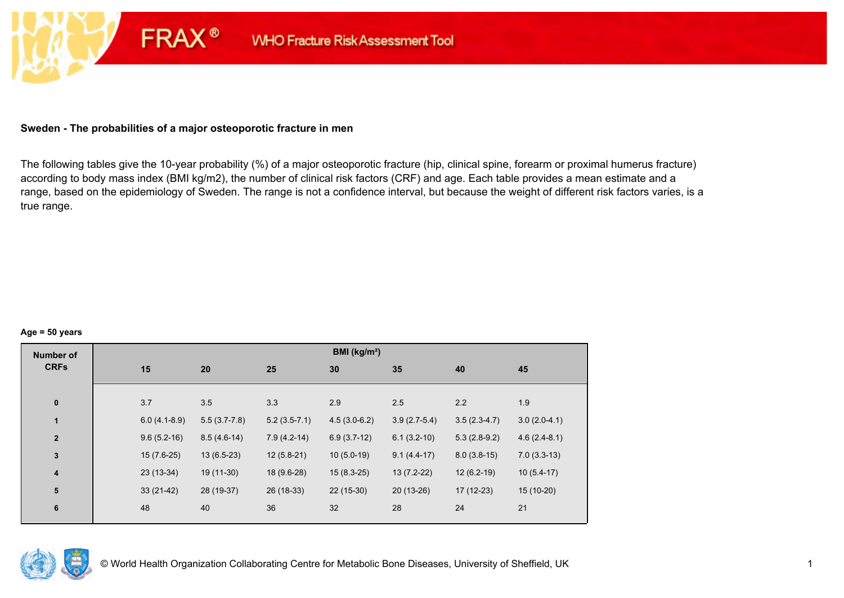## **Sweden - The probabilities of a major osteoporotic fracture in men**

**FRAX®** 

The following tables give the 10-year probability (%) of a major osteoporotic fracture (hip, clinical spine, forearm or proximal humerus fracture) according to body mass index (BMI kg/m2), the number of clinical risk factors (CRF) and age. Each table provides a mean estimate and a range, based on the epidemiology of Sweden. The range is not a confidence interval, but because the weight of different risk factors varies, is a true range.

#### **Age = 50 years**

| <b>Number of</b> |                |                |                | BMI (kg/m <sup>2</sup> ) |                |                |                |
|------------------|----------------|----------------|----------------|--------------------------|----------------|----------------|----------------|
| <b>CRFs</b>      | 15             | 20             | 25             | 30                       | 35             | 40             | 45             |
|                  |                |                |                |                          |                |                |                |
| $\pmb{0}$        | 3.7            | 3.5            | 3.3            | 2.9                      | 2.5            | 2.2            | 1.9            |
| 1                | $6.0(4.1-8.9)$ | $5.5(3.7-7.8)$ | $5.2(3.5-7.1)$ | $4.5(3.0-6.2)$           | $3.9(2.7-5.4)$ | $3.5(2.3-4.7)$ | $3.0(2.0-4.1)$ |
| $\mathbf{2}$     | $9.6(5.2-16)$  | $8.5(4.6-14)$  | $7.9(4.2-14)$  | $6.9(3.7-12)$            | $6.1(3.2-10)$  | $5.3(2.8-9.2)$ | $4.6(2.4-8.1)$ |
| $\mathbf{3}$     | $15(7.6-25)$   | $13(6.5-23)$   | $12(5.8-21)$   | $10(5.0-19)$             | $9.1(4.4-17)$  | $8.0(3.8-15)$  | $7.0(3.3-13)$  |
| $\boldsymbol{4}$ | $23(13-34)$    | 19 (11-30)     | 18 (9.6-28)    | $15(8.3-25)$             | $13(7.2-22)$   | $12(6.2-19)$   | $10(5.4-17)$   |
| 5                | $33(21-42)$    | 28 (19-37)     | 26 (18-33)     | $22(15-30)$              | $20(13-26)$    | $17(12-23)$    | 15 (10-20)     |
| $\bf 6$          | 48             | 40             | 36             | 32                       | 28             | 24             | 21             |
|                  |                |                |                |                          |                |                |                |

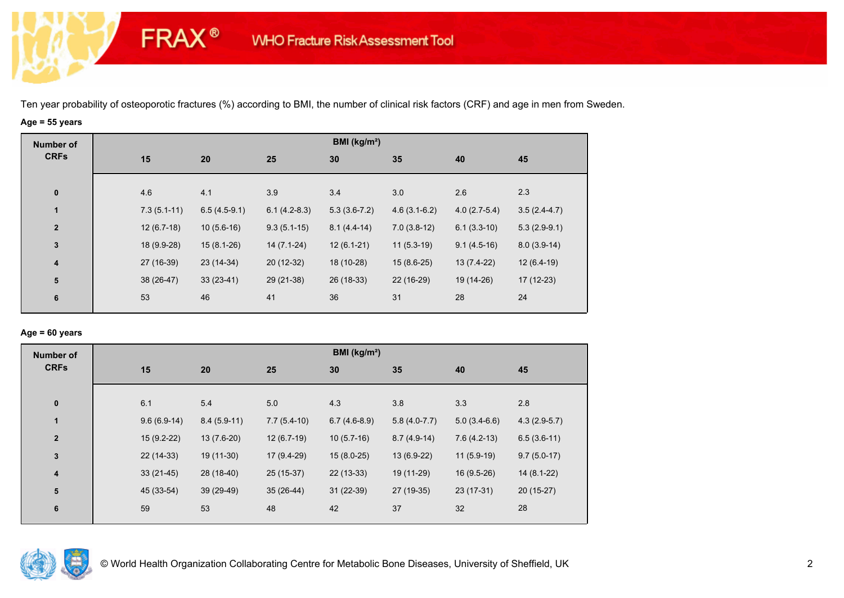# **Age = 55 years**

**FRAX®** 

| <b>Number of</b>        |               |                |                | BMI (kg/m <sup>2</sup> ) |                |                |                |
|-------------------------|---------------|----------------|----------------|--------------------------|----------------|----------------|----------------|
| <b>CRFs</b>             | 15            | 20             | 25             | 30                       | 35             | 40             | 45             |
| $\pmb{0}$               | 4.6           | 4.1            | 3.9            | 3.4                      | 3.0            | 2.6            | 2.3            |
| $\mathbf{1}$            | $7.3(5.1-11)$ | $6.5(4.5-9.1)$ | $6.1(4.2-8.3)$ | $5.3(3.6-7.2)$           | $4.6(3.1-6.2)$ | $4.0(2.7-5.4)$ | $3.5(2.4-4.7)$ |
| $\overline{2}$          | $12(6.7-18)$  | $10(5.6-16)$   | $9.3(5.1-15)$  | $8.1(4.4-14)$            | $7.0(3.8-12)$  | $6.1(3.3-10)$  | $5.3(2.9-9.1)$ |
| $\mathbf{3}$            | 18 (9.9-28)   | $15(8.1-26)$   | $14(7.1-24)$   | $12(6.1-21)$             | $11(5.3-19)$   | $9.1(4.5-16)$  | $8.0(3.9-14)$  |
| $\overline{\mathbf{4}}$ | 27 (16-39)    | 23 (14-34)     | 20 (12-32)     | 18 (10-28)               | $15(8.6-25)$   | $13(7.4-22)$   | $12(6.4-19)$   |
| 5                       | 38 (26-47)    | $33(23-41)$    | 29 (21-38)     | 26 (18-33)               | 22 (16-29)     | 19 (14-26)     | $17(12-23)$    |
| 6                       | 53            | 46             | 41             | 36                       | 31             | 28             | 24             |
|                         |               |                |                |                          |                |                |                |

## **Age = 60 years**

| <b>Number of</b> |               |               |               | BMI ( $kg/m2$ ) |                |                |                |
|------------------|---------------|---------------|---------------|-----------------|----------------|----------------|----------------|
| <b>CRFs</b>      | 15            | 20            | 25            | 30              | 35             | 40             | 45             |
| $\bf{0}$         | 6.1           | 5.4           | 5.0           | 4.3             | 3.8            | 3.3            | 2.8            |
| $\mathbf{1}$     | $9.6(6.9-14)$ | $8.4(5.9-11)$ | $7.7(5.4-10)$ | $6.7(4.6-8.9)$  | $5.8(4.0-7.7)$ | $5.0(3.4-6.6)$ | $4.3(2.9-5.7)$ |
| $\mathbf{2}$     | $15(9.2-22)$  | $13(7.6-20)$  | $12(6.7-19)$  | $10(5.7-16)$    | $8.7(4.9-14)$  | $7.6(4.2-13)$  | $6.5(3.6-11)$  |
| $\mathbf{3}$     | 22 (14-33)    | 19 (11-30)    | 17 (9.4-29)   | $15(8.0-25)$    | $13(6.9-22)$   | $11(5.9-19)$   | $9.7(5.0-17)$  |
| 4                | $33(21-45)$   | 28 (18-40)    | 25 (15-37)    | $22(13-33)$     | 19 (11-29)     | $16(9.5-26)$   | $14(8.1-22)$   |
| 5                | 45 (33-54)    | 39 (29-49)    | $35(26-44)$   | $31(22-39)$     | 27 (19-35)     | 23 (17-31)     | $20(15-27)$    |
| 6                | 59            | 53            | 48            | 42              | 37             | 32             | 28             |

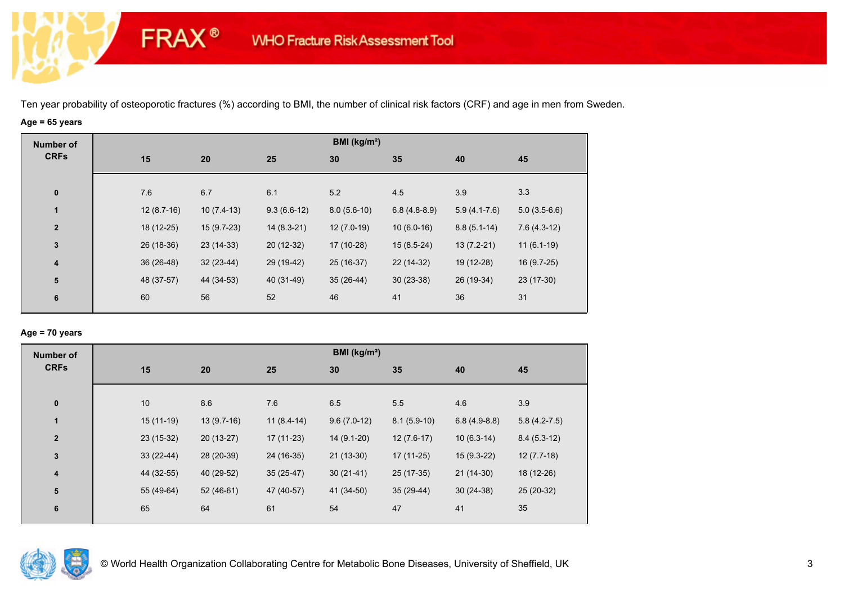# **Age = 65 years**

**FRAX®** 

| <b>Number of</b>        |              |              |               | BMI (kg/m <sup>2</sup> ) |                |                |                |
|-------------------------|--------------|--------------|---------------|--------------------------|----------------|----------------|----------------|
| <b>CRFs</b>             | 15           | 20           | 25            | 30                       | 35             | 40             | 45             |
|                         |              |              |               |                          |                |                |                |
| $\pmb{0}$               | 7.6          | 6.7          | 6.1           | 5.2                      | 4.5            | 3.9            | 3.3            |
| $\mathbf{1}$            | $12(8.7-16)$ | $10(7.4-13)$ | $9.3(6.6-12)$ | $8.0(5.6-10)$            | $6.8(4.8-8.9)$ | $5.9(4.1-7.6)$ | $5.0(3.5-6.6)$ |
| $\overline{2}$          | 18 (12-25)   | $15(9.7-23)$ | $14(8.3-21)$  | $12(7.0-19)$             | $10(6.0-16)$   | $8.8(5.1-14)$  | $7.6(4.3-12)$  |
| $\mathbf{3}$            | 26 (18-36)   | $23(14-33)$  | 20 (12-32)    | 17 (10-28)               | $15(8.5-24)$   | $13(7.2-21)$   | $11(6.1-19)$   |
| $\overline{\mathbf{4}}$ | 36 (26-48)   | $32(23-44)$  | 29 (19-42)    | 25 (16-37)               | $22(14-32)$    | 19 (12-28)     | 16 (9.7-25)    |
| ${\bf 5}$               | 48 (37-57)   | 44 (34-53)   | 40 (31-49)    | $35(26-44)$              | $30(23-38)$    | 26 (19-34)     | 23 (17-30)     |
| 6                       | 60           | 56           | 52            | 46                       | 41             | 36             | 31             |
|                         |              |              |               |                          |                |                |                |

## **Age = 70 years**

| <b>Number of</b>        |             |              |              | BMI (kg/m <sup>2</sup> ) |               |                |                |
|-------------------------|-------------|--------------|--------------|--------------------------|---------------|----------------|----------------|
| <b>CRFs</b>             | 15          | 20           | 25           | 30                       | 35            | 40             | 45             |
| $\pmb{0}$               | 10          | 8.6          | 7.6          | 6.5                      | 5.5           | 4.6            | 3.9            |
| $\mathbf{1}$            | $15(11-19)$ | $13(9.7-16)$ | $11(8.4-14)$ | $9.6(7.0-12)$            | $8.1(5.9-10)$ | $6.8(4.9-8.8)$ | $5.8(4.2-7.5)$ |
| $\overline{\mathbf{2}}$ | 23 (15-32)  | $20(13-27)$  | 17 (11-23)   | $14(9.1-20)$             | $12(7.6-17)$  | $10(6.3-14)$   | $8.4(5.3-12)$  |
| $\mathbf 3$             | $33(22-44)$ | 28 (20-39)   | 24 (16-35)   | $21(13-30)$              | $17(11-25)$   | $15(9.3-22)$   | $12(7.7-18)$   |
| $\overline{\mathbf{4}}$ | 44 (32-55)  | 40 (29-52)   | $35(25-47)$  | $30(21-41)$              | 25 (17-35)    | $21(14-30)$    | 18 (12-26)     |
| ${\bf 5}$               | 55 (49-64)  | $52(46-61)$  | 47 (40-57)   | 41 (34-50)               | $35(29-44)$   | $30(24-38)$    | 25 (20-32)     |
| 6                       | 65          | 64           | 61           | 54                       | 47            | 41             | 35             |

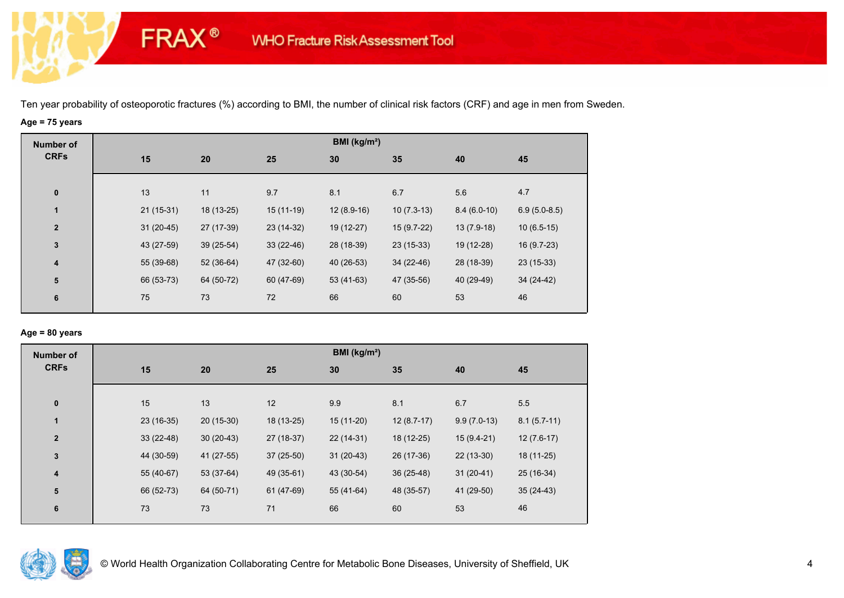# **Age = 75 years**

**FRAX®** 

| Number of               |             |             |             | BMI (kg/m <sup>2</sup> ) |              |               |                |
|-------------------------|-------------|-------------|-------------|--------------------------|--------------|---------------|----------------|
| <b>CRFs</b>             | 15          | 20          | 25          | 30                       | 35           | 40            | 45             |
| $\bf{0}$                | 13          | 11          | 9.7         | 8.1                      | 6.7          | 5.6           | 4.7            |
| $\mathbf{1}$            | $21(15-31)$ | 18 (13-25)  | $15(11-19)$ | $12(8.9-16)$             | $10(7.3-13)$ | $8.4(6.0-10)$ | $6.9(5.0-8.5)$ |
| $\overline{2}$          | $31(20-45)$ | 27 (17-39)  | 23 (14-32)  | 19 (12-27)               | $15(9.7-22)$ | $13(7.9-18)$  | $10(6.5-15)$   |
| $\mathbf 3$             | 43 (27-59)  | $39(25-54)$ | $33(22-46)$ | 28 (18-39)               | $23(15-33)$  | 19 (12-28)    | 16 (9.7-23)    |
| 4                       | 55 (39-68)  | $52(36-64)$ | 47 (32-60)  | 40 (26-53)               | 34 (22-46)   | 28 (18-39)    | $23(15-33)$    |
| $\overline{\mathbf{5}}$ | 66 (53-73)  | 64 (50-72)  | 60 (47-69)  | $53(41-63)$              | 47 (35-56)   | 40 (29-49)    | 34 (24-42)     |
| 6                       | 75          | 73          | 72          | 66                       | 60           | 53            | 46             |
|                         |             |             |             |                          |              |               |                |

## **Age = 80 years**

| <b>Number of</b> |             |             |             | BMI ( $kg/m2$ ) |              |               |               |
|------------------|-------------|-------------|-------------|-----------------|--------------|---------------|---------------|
| <b>CRFs</b>      | 15          | 20          | 25          | 30              | 35           | 40            | 45            |
|                  |             |             |             |                 |              |               |               |
| $\pmb{0}$        | 15          | 13          | 12          | 9.9             | 8.1          | 6.7           | 5.5           |
| $\mathbf{1}$     | $23(16-35)$ | $20(15-30)$ | 18 (13-25)  | $15(11-20)$     | $12(8.7-17)$ | $9.9(7.0-13)$ | $8.1(5.7-11)$ |
| $\mathbf{2}$     | $33(22-48)$ | $30(20-43)$ | 27 (18-37)  | $22(14-31)$     | 18 (12-25)   | $15(9.4-21)$  | $12(7.6-17)$  |
| $\mathbf{3}$     | 44 (30-59)  | 41 (27-55)  | $37(25-50)$ | $31(20-43)$     | 26 (17-36)   | $22(13-30)$   | 18 (11-25)    |
| 4                | 55 (40-67)  | 53 (37-64)  | 49 (35-61)  | 43 (30-54)      | $36(25-48)$  | $31(20-41)$   | 25 (16-34)    |
| 5                | 66 (52-73)  | 64 (50-71)  | 61 (47-69)  | 55 (41-64)      | 48 (35-57)   | 41 (29-50)    | $35(24-43)$   |
| 6                | 73          | 73          | 71          | 66              | 60           | 53            | 46            |
|                  |             |             |             |                 |              |               |               |